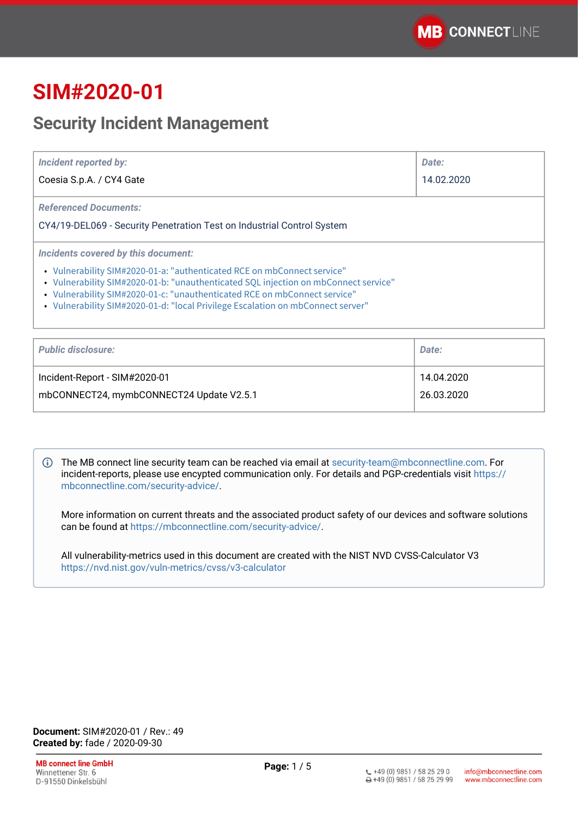# **SIM#2020-01**

## **Security Incident Management**

| Incident reported by:<br>Coesia S.p.A. / CY4 Gate                                                                                                                                                                                                                                                                                                                     | Date:<br>14.02.2020 |
|-----------------------------------------------------------------------------------------------------------------------------------------------------------------------------------------------------------------------------------------------------------------------------------------------------------------------------------------------------------------------|---------------------|
| <b>Referenced Documents:</b><br>CY4/19-DEL069 - Security Penetration Test on Industrial Control System                                                                                                                                                                                                                                                                |                     |
| Incidents covered by this document:<br>• Vulnerability SIM#2020-01-a: "authenticated RCE on mbConnect service"<br>• Vulnerability SIM#2020-01-b: "unauthenticated SQL injection on mbConnect service"<br>• Vulnerability SIM#2020-01-c: "unauthenticated RCE on mbConnect service"<br>• Vulnerability SIM#2020-01-d: "local Privilege Escalation on mbConnect server" |                     |

| <b>Public disclosure:</b>                | Date:      |
|------------------------------------------|------------|
| Incident-Report - SIM#2020-01            | 14.04.2020 |
| mbCONNECT24, mymbCONNECT24 Update V2.5.1 | 26.03.2020 |

The MB connect line security team can be reached via email at [security-team@mbconnectline.com](mailto:security-team@mbconnectline.com). For incident-reports, please use encypted communication only. For details and PGP-credentials visit [https://](https://mbconnectline.com/security-advice/) [mbconnectline.com/security-advice/.](https://mbconnectline.com/security-advice/)

More information on current threats and the associated product safety of our devices and software solutions can be found at [https://mbconnectline.com/security-advice/.](https://mbconnectline.com/security-advice/)

All vulnerability-metrics used in this document are created with the NIST NVD CVSS-Calculator V3 <https://nvd.nist.gov/vuln-metrics/cvss/v3-calculator>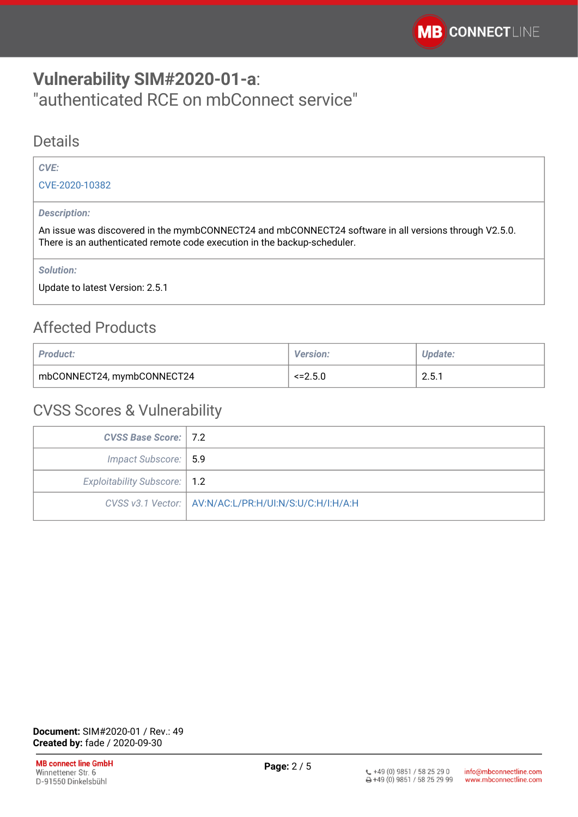## <span id="page-1-0"></span>**Vulnerability SIM#2020-01-a**: "authenticated RCE on mbConnect service"

#### Details

#### *CVE:*

[CVE-2020-10382](https://cve.mitre.org/cgi-bin/cvename.cgi?name=CVE-2020-10382)

#### *Description:*

An issue was discovered in the mymbCONNECT24 and mbCONNECT24 software in all versions through V2.5.0. There is an authenticated remote code execution in the backup-scheduler.

*Solution:* 

Update to latest Version: 2.5.1

### Affected Products

| <b>Product:</b>            | <b>Version:</b> | <b>Update:</b> |
|----------------------------|-----------------|----------------|
| mbCONNECT24, mymbCONNECT24 | $\leq$ = 2.5.0  | 2.5.1          |

| <b>CVSS Base Score: 7.2</b>    |                                                         |
|--------------------------------|---------------------------------------------------------|
| Impact Subscore:   5.9         |                                                         |
| Exploitability Subscore:   1.2 |                                                         |
|                                | CVSS v3.1 Vector:   AV:N/AC:L/PR:H/UI:N/S:U/C:H/I:H/A:H |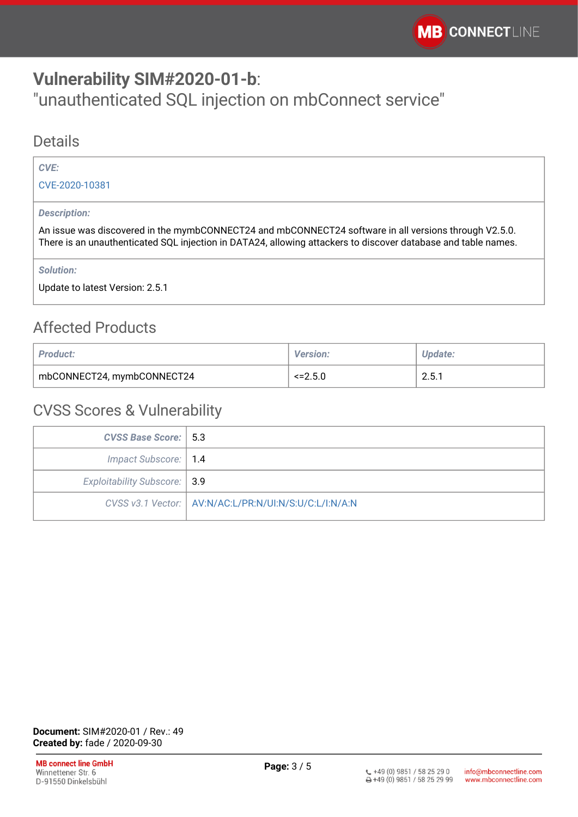## <span id="page-2-0"></span>**Vulnerability SIM#2020-01-b**:

"unauthenticated SQL injection on mbConnect service"

#### Details

#### *CVE:*

[CVE-2020-10381](https://cve.mitre.org/cgi-bin/cvename.cgi?name=CVE-2020-10381)

#### *Description:*

An issue was discovered in the mymbCONNECT24 and mbCONNECT24 software in all versions through V2.5.0. There is an unauthenticated SQL injection in DATA24, allowing attackers to discover database and table names.

*Solution:* 

Update to latest Version: 2.5.1

### Affected Products

| <b>Product:</b>            | <b>Version:</b> | Update:     |
|----------------------------|-----------------|-------------|
| mbCONNECT24, mymbCONNECT24 | $\leq$ = 2.5.0  | 251<br>2.J. |

| <b>CVSS Base Score:   5.3</b> |                                                         |
|-------------------------------|---------------------------------------------------------|
| Impact Subscore:   1.4        |                                                         |
| Exploitability Subscore: 3.9  |                                                         |
|                               | CVSS v3.1 Vector:   AV:N/AC:L/PR:N/UI:N/S:U/C:L/I:N/A:N |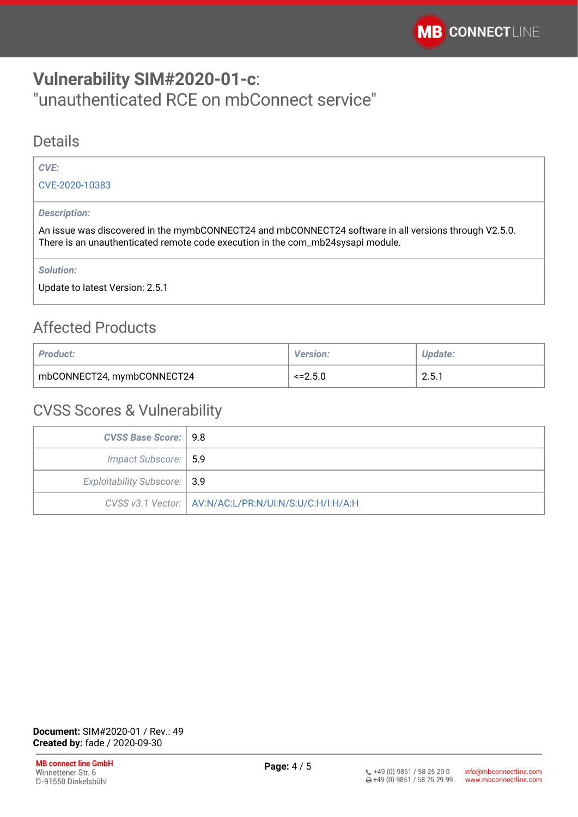## <span id="page-3-0"></span>**Vulnerability SIM#2020-01-c**: "unauthenticated RCE on mbConnect service"

#### Details

#### *CVE:*

[CVE-2020-10383](https://cve.mitre.org/cgi-bin/cvename.cgi?name=CVE-2020-10383)

#### *Description:*

An issue was discovered in the mymbCONNECT24 and mbCONNECT24 software in all versions through V2.5.0. There is an unauthenticated remote code execution in the com\_mb24sysapi module.

*Solution:* 

Update to latest Version: 2.5.1

### Affected Products

| <b>Product:</b>            | <b>Version:</b> | <b>Update:</b> |
|----------------------------|-----------------|----------------|
| mbCONNECT24, mymbCONNECT24 | $\leq$ = 2.5.0  | 2.5.1          |

| CVSS Base Score:   9.8       |                                                         |
|------------------------------|---------------------------------------------------------|
| Impact Subscore:   5.9       |                                                         |
| Exploitability Subscore: 3.9 |                                                         |
|                              | CVSS v3.1 Vector:   AV:N/AC:L/PR:N/UI:N/S:U/C:H/I:H/A:H |